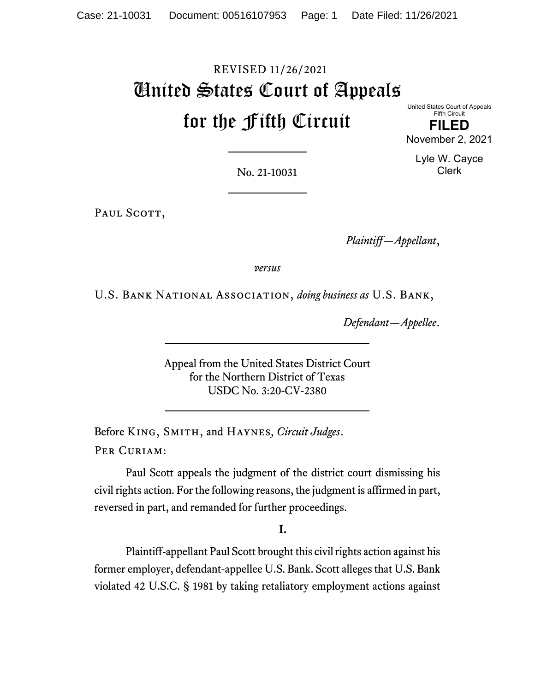# REVISED 11/26/2021 United States Court of Appeals for the Fifth Circuit

United States Court of Appeals Fifth Circuit **FILED** November 2, 2021

> Lyle W. Cayce Clerk

No. 21-10031

PAUL SCOTT,

*Plaintiff—Appellant*,

*versus*

U.S. Bank National Association, *doing business as* U.S. Bank,

*Defendant—Appellee*.

Appeal from the United States District Court for the Northern District of Texas USDC No. 3:20-CV-2380

Before King, Smith, and Haynes*, Circuit Judges*. PER CURIAM:

Paul Scott appeals the judgment of the district court dismissing his civil rights action. For the following reasons, the judgment is affirmed in part, reversed in part, and remanded for further proceedings.

**I.**

Plaintiff-appellant Paul Scott brought this civil rights action against his former employer, defendant-appellee U.S. Bank. Scott alleges that U.S. Bank violated 42 U.S.C. § 1981 by taking retaliatory employment actions against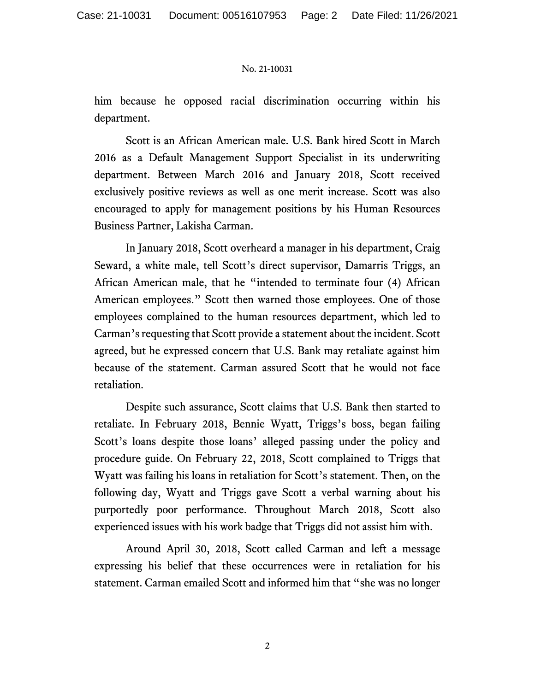him because he opposed racial discrimination occurring within his department.

Scott is an African American male. U.S. Bank hired Scott in March 2016 as a Default Management Support Specialist in its underwriting department. Between March 2016 and January 2018, Scott received exclusively positive reviews as well as one merit increase. Scott was also encouraged to apply for management positions by his Human Resources Business Partner, Lakisha Carman.

In January 2018, Scott overheard a manager in his department, Craig Seward, a white male, tell Scott's direct supervisor, Damarris Triggs, an African American male, that he "intended to terminate four (4) African American employees." Scott then warned those employees. One of those employees complained to the human resources department, which led to Carman's requesting that Scott provide a statement about the incident. Scott agreed, but he expressed concern that U.S. Bank may retaliate against him because of the statement. Carman assured Scott that he would not face retaliation.

Despite such assurance, Scott claims that U.S. Bank then started to retaliate. In February 2018, Bennie Wyatt, Triggs's boss, began failing Scott's loans despite those loans' alleged passing under the policy and procedure guide. On February 22, 2018, Scott complained to Triggs that Wyatt was failing his loans in retaliation for Scott's statement. Then, on the following day, Wyatt and Triggs gave Scott a verbal warning about his purportedly poor performance. Throughout March 2018, Scott also experienced issues with his work badge that Triggs did not assist him with.

Around April 30, 2018, Scott called Carman and left a message expressing his belief that these occurrences were in retaliation for his statement. Carman emailed Scott and informed him that "she was no longer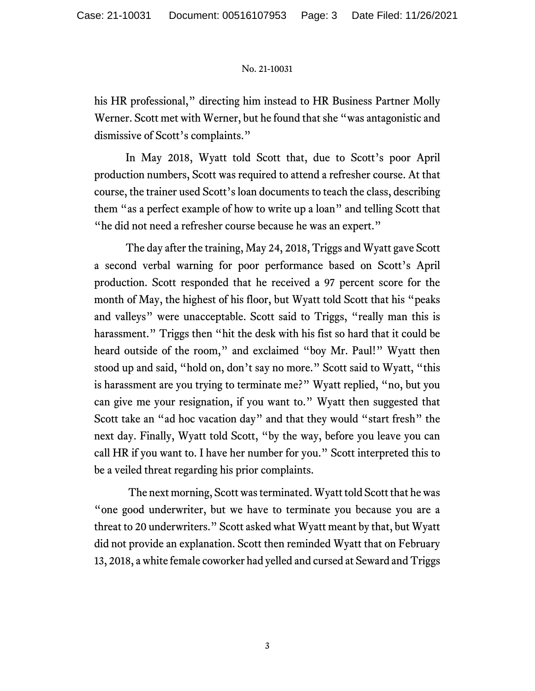his HR professional," directing him instead to HR Business Partner Molly Werner. Scott met with Werner, but he found that she "was antagonistic and dismissive of Scott's complaints."

In May 2018, Wyatt told Scott that, due to Scott's poor April production numbers, Scott was required to attend a refresher course. At that course, the trainer used Scott's loan documents to teach the class, describing them "as a perfect example of how to write up a loan" and telling Scott that "he did not need a refresher course because he was an expert."

The day after the training, May 24, 2018, Triggs and Wyatt gave Scott a second verbal warning for poor performance based on Scott's April production. Scott responded that he received a 97 percent score for the month of May, the highest of his floor, but Wyatt told Scott that his "peaks and valleys" were unacceptable. Scott said to Triggs, "really man this is harassment." Triggs then "hit the desk with his fist so hard that it could be heard outside of the room," and exclaimed "boy Mr. Paul!" Wyatt then stood up and said, "hold on, don't say no more." Scott said to Wyatt, "this is harassment are you trying to terminate me?" Wyatt replied, "no, but you can give me your resignation, if you want to." Wyatt then suggested that Scott take an "ad hoc vacation day" and that they would "start fresh" the next day. Finally, Wyatt told Scott, "by the way, before you leave you can call HR if you want to. I have her number for you." Scott interpreted this to be a veiled threat regarding his prior complaints.

The next morning, Scott was terminated. Wyatt told Scott that he was "one good underwriter, but we have to terminate you because you are a threat to 20 underwriters." Scott asked what Wyatt meant by that, but Wyatt did not provide an explanation. Scott then reminded Wyatt that on February 13, 2018, a white female coworker had yelled and cursed at Seward and Triggs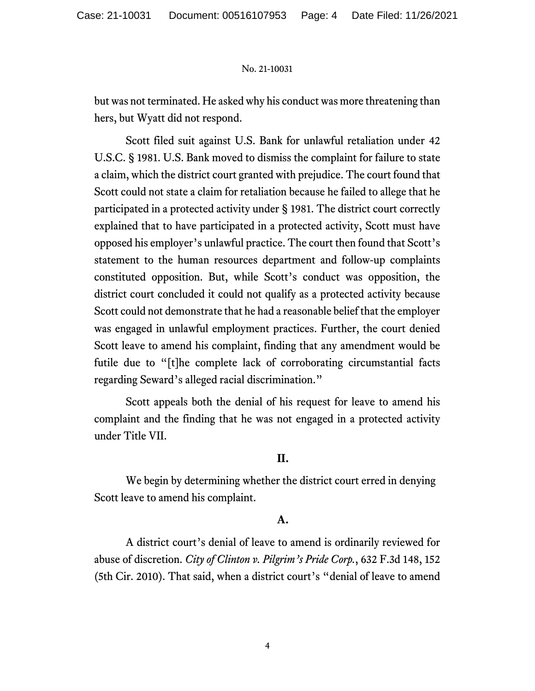but was not terminated. He asked why his conduct was more threatening than hers, but Wyatt did not respond.

Scott filed suit against U.S. Bank for unlawful retaliation under 42 U.S.C. § 1981. U.S. Bank moved to dismiss the complaint for failure to state a claim, which the district court granted with prejudice. The court found that Scott could not state a claim for retaliation because he failed to allege that he participated in a protected activity under § 1981. The district court correctly explained that to have participated in a protected activity, Scott must have opposed his employer's unlawful practice. The court then found that Scott's statement to the human resources department and follow-up complaints constituted opposition. But, while Scott's conduct was opposition, the district court concluded it could not qualify as a protected activity because Scott could not demonstrate that he had a reasonable belief that the employer was engaged in unlawful employment practices. Further, the court denied Scott leave to amend his complaint, finding that any amendment would be futile due to "[t]he complete lack of corroborating circumstantial facts regarding Seward's alleged racial discrimination."

Scott appeals both the denial of his request for leave to amend his complaint and the finding that he was not engaged in a protected activity under Title VII.

# **II.**

We begin by determining whether the district court erred in denying Scott leave to amend his complaint.

# **A.**

A district court's denial of leave to amend is ordinarily reviewed for abuse of discretion. *City of Clinton v. Pilgrim's Pride Corp.*, 632 F.3d 148, 152 (5th Cir. 2010). That said, when a district court's "denial of leave to amend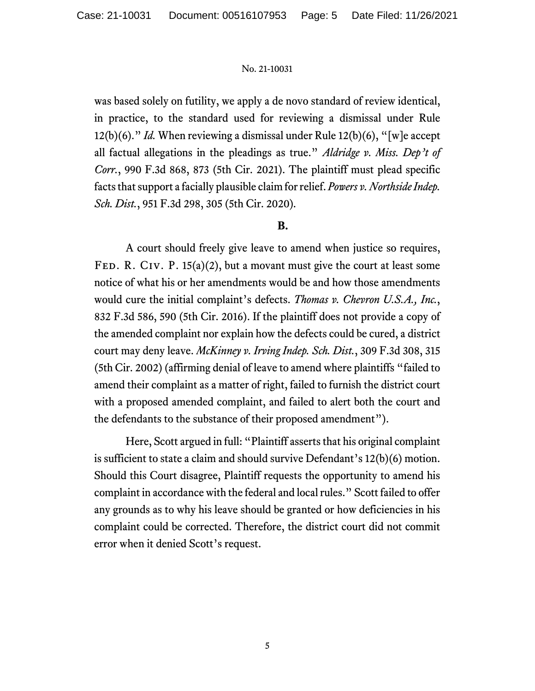was based solely on futility, we apply a de novo standard of review identical, in practice, to the standard used for reviewing a dismissal under Rule 12(b)(6)." *Id.* When reviewing a dismissal under Rule 12(b)(6), "[w]e accept all factual allegations in the pleadings as true." *Aldridge v. Miss. Dep't of Corr.*, 990 F.3d 868, 873 (5th Cir. 2021). The plaintiff must plead specific facts that support a facially plausible claim for relief. *Powers v. Northside Indep. Sch. Dist.*, 951 F.3d 298, 305 (5th Cir. 2020)*.*

# **B.**

A court should freely give leave to amend when justice so requires, FED. R. CIV. P.  $15(a)(2)$ , but a movant must give the court at least some notice of what his or her amendments would be and how those amendments would cure the initial complaint's defects. *Thomas v. Chevron U.S.A., Inc.*, 832 F.3d 586, 590 (5th Cir. 2016). If the plaintiff does not provide a copy of the amended complaint nor explain how the defects could be cured, a district court may deny leave. *McKinney v. Irving Indep. Sch. Dist.*, 309 F.3d 308, 315 (5th Cir. 2002) (affirming denial of leave to amend where plaintiffs "failed to amend their complaint as a matter of right, failed to furnish the district court with a proposed amended complaint, and failed to alert both the court and the defendants to the substance of their proposed amendment").

Here, Scott argued in full: "Plaintiff asserts that his original complaint is sufficient to state a claim and should survive Defendant's 12(b)(6) motion. Should this Court disagree, Plaintiff requests the opportunity to amend his complaint in accordance with the federal and local rules." Scott failed to offer any grounds as to why his leave should be granted or how deficiencies in his complaint could be corrected. Therefore, the district court did not commit error when it denied Scott's request.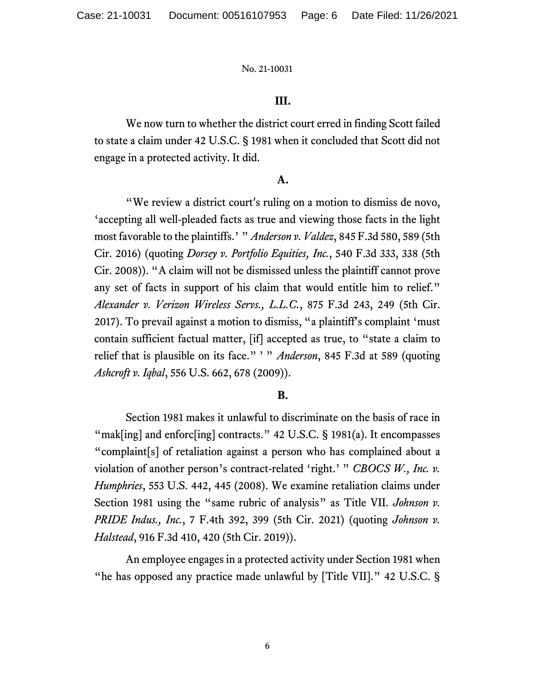# **III.**

We now turn to whether the district court erred in finding Scott failed to state a claim under 42 U.S.C. § 1981 when it concluded that Scott did not engage in a protected activity. It did.

# **A.**

"We review a district court's ruling on a motion to dismiss de novo, 'accepting all well-pleaded facts as true and viewing those facts in the light most favorable to the plaintiffs.' " *Anderson v. Valdez*, 845 F.3d 580, 589 (5th Cir. 2016) (quoting *Dorsey v. Portfolio Equities, Inc.*, 540 F.3d 333, 338 (5th Cir. 2008)). "A claim will not be dismissed unless the plaintiff cannot prove any set of facts in support of his claim that would entitle him to relief." *Alexander v. Verizon Wireless Servs., L.L.C.*, 875 F.3d 243, 249 (5th Cir. 2017). To prevail against a motion to dismiss, "a plaintiff's complaint 'must contain sufficient factual matter, [if] accepted as true, to "state a claim to relief that is plausible on its face." ' " *Anderson*, 845 F.3d at 589 (quoting *Ashcroft v. Iqbal*, 556 U.S. 662, 678 (2009)).

## **B.**

Section 1981 makes it unlawful to discriminate on the basis of race in "mak[ing] and enforc[ing] contracts." 42 U.S.C. § 1981(a). It encompasses "complaint[s] of retaliation against a person who has complained about a violation of another person's contract-related 'right.' " *CBOCS W., Inc. v. Humphries*, 553 U.S. 442, 445 (2008). We examine retaliation claims under Section 1981 using the "same rubric of analysis" as Title VII. *Johnson v. PRIDE Indus., Inc.*, 7 F.4th 392, 399 (5th Cir. 2021) (quoting *Johnson v. Halstead*, 916 F.3d 410, 420 (5th Cir. 2019)).

An employee engages in a protected activity under Section 1981 when "he has opposed any practice made unlawful by [Title VII]."  $42 \text{ U.S.C. }$ §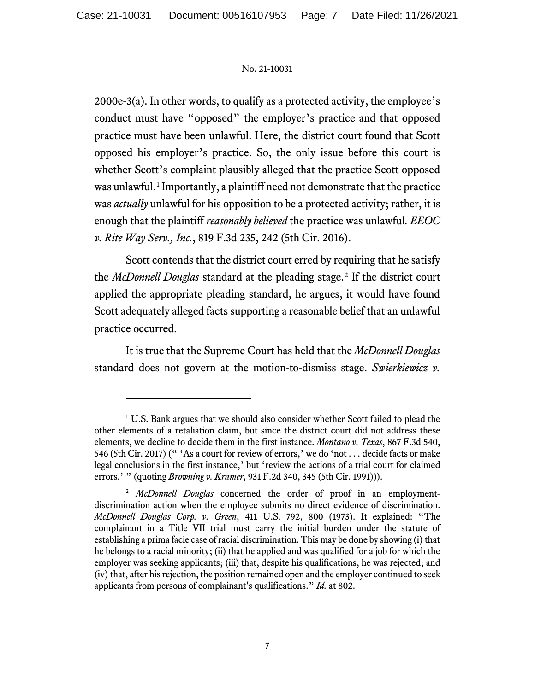2000e-3(a). In other words, to qualify as a protected activity, the employee's conduct must have "opposed" the employer's practice and that opposed practice must have been unlawful. Here, the district court found that Scott opposed his employer's practice. So, the only issue before this court is whether Scott's complaint plausibly alleged that the practice Scott opposed was unlawful.<sup>[1](#page-6-0)</sup> Importantly, a plaintiff need not demonstrate that the practice was *actually* unlawful for his opposition to be a protected activity; rather, it is enough that the plaintiff *reasonably believed* the practice was unlawful*. EEOC v. Rite Way Serv., Inc.*, 819 F.3d 235, 242 (5th Cir. 2016).

Scott contends that the district court erred by requiring that he satisfy the *McDonnell Douglas* standard at the pleading stage. [2](#page-6-1) If the district court applied the appropriate pleading standard, he argues, it would have found Scott adequately alleged facts supporting a reasonable belief that an unlawful practice occurred.

It is true that the Supreme Court has held that the *McDonnell Douglas* standard does not govern at the motion-to-dismiss stage. *Swierkiewicz v.* 

<span id="page-6-0"></span><sup>&</sup>lt;sup>1</sup> U.S. Bank argues that we should also consider whether Scott failed to plead the other elements of a retaliation claim, but since the district court did not address these elements, we decline to decide them in the first instance. *Montano v. Texas*, 867 F.3d 540, 546 (5th Cir. 2017) (" 'As a court for review of errors,' we do 'not . . . decide facts or make legal conclusions in the first instance,' but 'review the actions of a trial court for claimed errors.' " (quoting *Browning v. Kramer*, 931 F.2d 340, 345 (5th Cir. 1991))).

<span id="page-6-1"></span><sup>2</sup> *McDonnell Douglas* concerned the order of proof in an employmentdiscrimination action when the employee submits no direct evidence of discrimination. *McDonnell Douglas Corp. v. Green*, 411 U.S. 792, 800 (1973). It explained: "The complainant in a Title VII trial must carry the initial burden under the statute of establishing a prima facie case of racial discrimination. This may be done by showing (i) that he belongs to a racial minority; (ii) that he applied and was qualified for a job for which the employer was seeking applicants; (iii) that, despite his qualifications, he was rejected; and (iv) that, after his rejection, the position remained open and the employer continued to seek applicants from persons of complainant's qualifications." *Id.* at 802.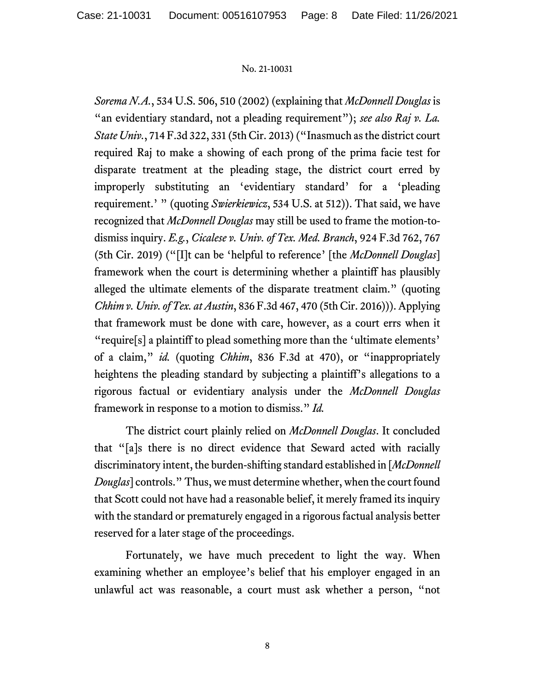*Sorema N.A.*, 534 U.S. 506, 510 (2002) (explaining that *McDonnell Douglas* is "an evidentiary standard, not a pleading requirement"); *see also Raj v. La. State Univ.*, 714 F.3d 322, 331 (5th Cir. 2013) ("Inasmuch as the district court required Raj to make a showing of each prong of the prima facie test for disparate treatment at the pleading stage, the district court erred by improperly substituting an 'evidentiary standard' for a 'pleading requirement.' " (quoting *Swierkiewicz*, 534 U.S. at 512)). That said, we have recognized that *McDonnell Douglas* may still be used to frame the motion-todismiss inquiry. *E.g.*, *Cicalese v. Univ. of Tex. Med. Branch*, 924 F.3d 762, 767 (5th Cir. 2019) ("[I]t can be 'helpful to reference' [the *McDonnell Douglas*] framework when the court is determining whether a plaintiff has plausibly alleged the ultimate elements of the disparate treatment claim." (quoting *Chhim v. Univ. of Tex. at Austin*, 836 F.3d 467, 470 (5th Cir. 2016))). Applying that framework must be done with care, however, as a court errs when it "require[s] a plaintiff to plead something more than the 'ultimate elements' of a claim," *id.* (quoting *Chhim*, 836 F.3d at 470), or "inappropriately heightens the pleading standard by subjecting a plaintiff's allegations to a rigorous factual or evidentiary analysis under the *McDonnell Douglas* framework in response to a motion to dismiss." *Id.*

The district court plainly relied on *McDonnell Douglas*. It concluded that "[a]s there is no direct evidence that Seward acted with racially discriminatory intent, the burden-shifting standard established in [*McDonnell Douglas*] controls." Thus, we must determine whether, when the court found that Scott could not have had a reasonable belief, it merely framed its inquiry with the standard or prematurely engaged in a rigorous factual analysis better reserved for a later stage of the proceedings.

Fortunately, we have much precedent to light the way. When examining whether an employee's belief that his employer engaged in an unlawful act was reasonable, a court must ask whether a person, "not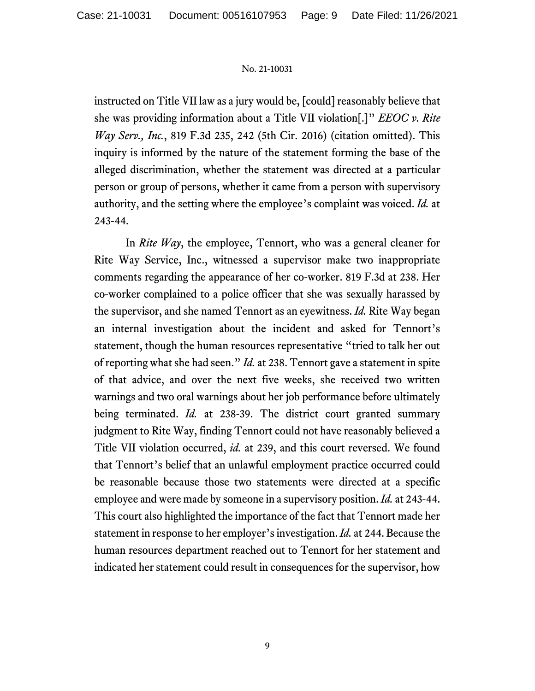instructed on Title VII law as a jury would be, [could] reasonably believe that she was providing information about a Title VII violation[.]" *EEOC v. Rite Way Serv., Inc.*, 819 F.3d 235, 242 (5th Cir. 2016) (citation omitted). This inquiry is informed by the nature of the statement forming the base of the alleged discrimination, whether the statement was directed at a particular person or group of persons, whether it came from a person with supervisory authority, and the setting where the employee's complaint was voiced. *Id.* at 243-44.

In *Rite Way*, the employee, Tennort, who was a general cleaner for Rite Way Service, Inc., witnessed a supervisor make two inappropriate comments regarding the appearance of her co-worker. 819 F.3d at 238. Her co-worker complained to a police officer that she was sexually harassed by the supervisor, and she named Tennort as an eyewitness. *Id.* Rite Way began an internal investigation about the incident and asked for Tennort's statement, though the human resources representative "tried to talk her out of reporting what she had seen." *Id.* at 238. Tennort gave a statement in spite of that advice, and over the next five weeks, she received two written warnings and two oral warnings about her job performance before ultimately being terminated. *Id.* at 238-39. The district court granted summary judgment to Rite Way, finding Tennort could not have reasonably believed a Title VII violation occurred, *id.* at 239, and this court reversed. We found that Tennort's belief that an unlawful employment practice occurred could be reasonable because those two statements were directed at a specific employee and were made by someone in a supervisory position. *Id.* at 243-44. This court also highlighted the importance of the fact that Tennort made her statement in response to her employer's investigation. *Id.* at 244. Because the human resources department reached out to Tennort for her statement and indicated her statement could result in consequences for the supervisor, how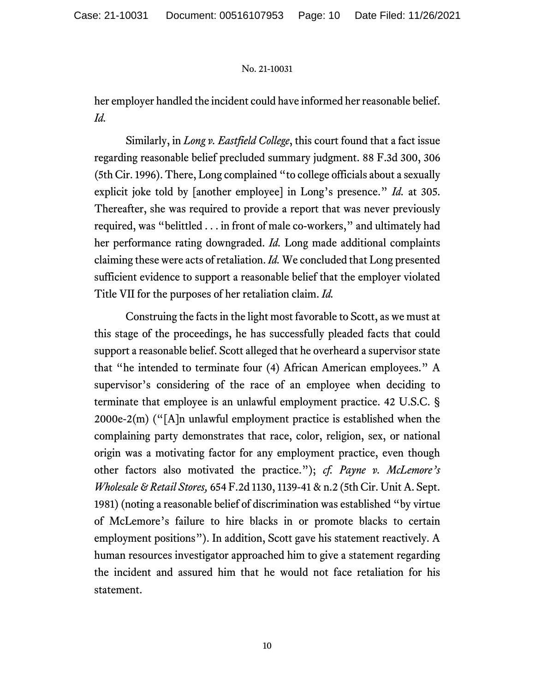her employer handled the incident could have informed her reasonable belief. *Id.*

Similarly, in *Long v. Eastfield College*, this court found that a fact issue regarding reasonable belief precluded summary judgment. 88 F.3d 300, 306 (5th Cir. 1996). There, Long complained "to college officials about a sexually explicit joke told by [another employee] in Long's presence." *Id.* at 305. Thereafter, she was required to provide a report that was never previously required, was "belittled . . . in front of male co-workers," and ultimately had her performance rating downgraded. *Id.* Long made additional complaints claiming these were acts of retaliation. *Id.* We concluded that Long presented sufficient evidence to support a reasonable belief that the employer violated Title VII for the purposes of her retaliation claim. *Id.*

Construing the facts in the light most favorable to Scott, as we must at this stage of the proceedings, he has successfully pleaded facts that could support a reasonable belief. Scott alleged that he overheard a supervisor state that "he intended to terminate four (4) African American employees." A supervisor's considering of the race of an employee when deciding to terminate that employee is an unlawful employment practice. 42 U.S.C. § 2000e-2(m) ("[A]n unlawful employment practice is established when the complaining party demonstrates that race, color, religion, sex, or national origin was a motivating factor for any employment practice, even though other factors also motivated the practice."); *cf. Payne v. McLemore's Wholesale & Retail Stores,* 654 F.2d 1130, 1139-41 & n.2 (5th Cir. Unit A. Sept. 1981) (noting a reasonable belief of discrimination was established "by virtue of McLemore's failure to hire blacks in or promote blacks to certain employment positions"). In addition, Scott gave his statement reactively. A human resources investigator approached him to give a statement regarding the incident and assured him that he would not face retaliation for his statement.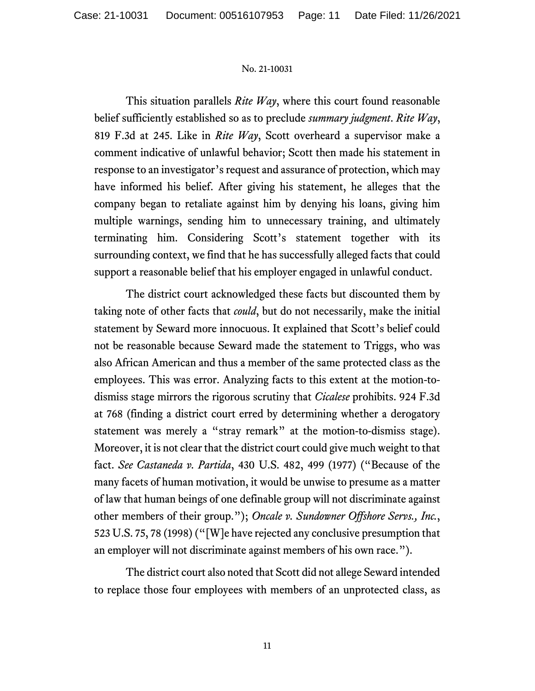This situation parallels *Rite Way*, where this court found reasonable belief sufficiently established so as to preclude *summary judgment*. *Rite Way*, 819 F.3d at 245. Like in *Rite Way*, Scott overheard a supervisor make a comment indicative of unlawful behavior; Scott then made his statement in response to an investigator's request and assurance of protection, which may have informed his belief. After giving his statement, he alleges that the company began to retaliate against him by denying his loans, giving him multiple warnings, sending him to unnecessary training, and ultimately terminating him. Considering Scott's statement together with its surrounding context, we find that he has successfully alleged facts that could support a reasonable belief that his employer engaged in unlawful conduct.

The district court acknowledged these facts but discounted them by taking note of other facts that *could*, but do not necessarily, make the initial statement by Seward more innocuous. It explained that Scott's belief could not be reasonable because Seward made the statement to Triggs, who was also African American and thus a member of the same protected class as the employees. This was error. Analyzing facts to this extent at the motion-todismiss stage mirrors the rigorous scrutiny that *Cicalese* prohibits. 924 F.3d at 768 (finding a district court erred by determining whether a derogatory statement was merely a "stray remark" at the motion-to-dismiss stage). Moreover, it is not clear that the district court could give much weight to that fact. *See Castaneda v. Partida*, 430 U.S. 482, 499 (1977) ("Because of the many facets of human motivation, it would be unwise to presume as a matter of law that human beings of one definable group will not discriminate against other members of their group."); *Oncale v. Sundowner Offshore Servs., Inc.*, 523 U.S. 75, 78 (1998) ("[W]e have rejected any conclusive presumption that an employer will not discriminate against members of his own race.").

The district court also noted that Scott did not allege Seward intended to replace those four employees with members of an unprotected class, as